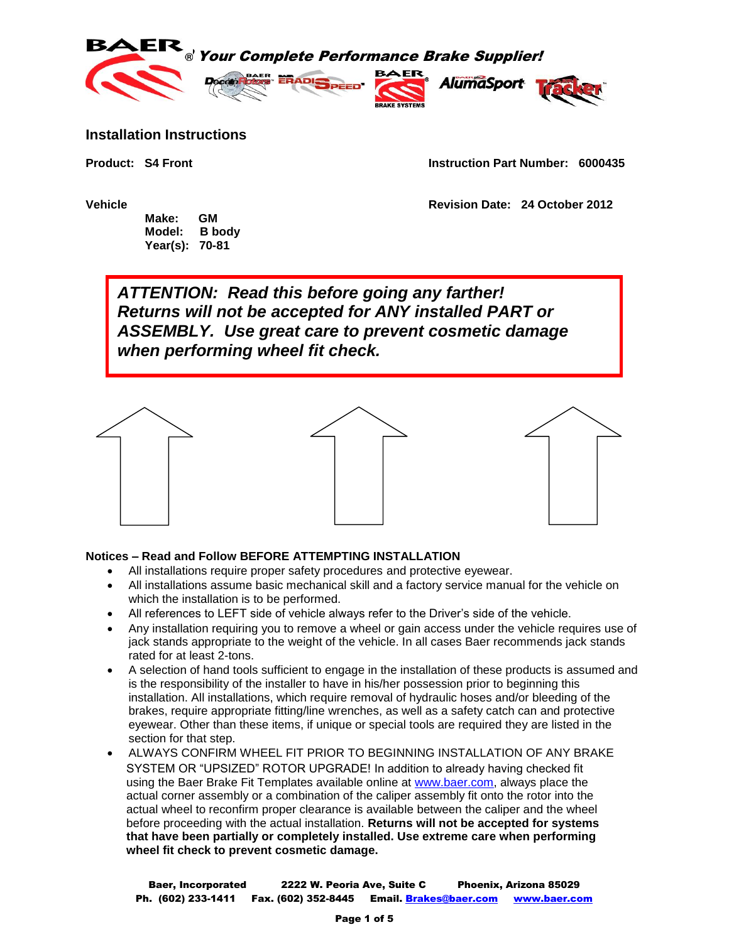

## **Installation Instructions**

**Product: S4 Front Instruction Part Number: 6000435**

 **Make: GM Model: B body Year(s): 70-81**

**Vehicle Revision Date: 24 October 2012**

*ATTENTION: Read this before going any farther! Returns will not be accepted for ANY installed PART or ASSEMBLY. Use great care to prevent cosmetic damage when performing wheel fit check.*



## **Notices – Read and Follow BEFORE ATTEMPTING INSTALLATION**

- All installations require proper safety procedures and protective eyewear.
- All installations assume basic mechanical skill and a factory service manual for the vehicle on which the installation is to be performed.
- All references to LEFT side of vehicle always refer to the Driver's side of the vehicle.
- Any installation requiring you to remove a wheel or gain access under the vehicle requires use of jack stands appropriate to the weight of the vehicle. In all cases Baer recommends jack stands rated for at least 2-tons.
- A selection of hand tools sufficient to engage in the installation of these products is assumed and is the responsibility of the installer to have in his/her possession prior to beginning this installation. All installations, which require removal of hydraulic hoses and/or bleeding of the brakes, require appropriate fitting/line wrenches, as well as a safety catch can and protective eyewear. Other than these items, if unique or special tools are required they are listed in the section for that step.
- ALWAYS CONFIRM WHEEL FIT PRIOR TO BEGINNING INSTALLATION OF ANY BRAKE SYSTEM OR "UPSIZED" ROTOR UPGRADE! In addition to already having checked fit using the Baer Brake Fit Templates available online at [www.baer.com,](http://www.baer.com/) always place the actual corner assembly or a combination of the caliper assembly fit onto the rotor into the actual wheel to reconfirm proper clearance is available between the caliper and the wheel before proceeding with the actual installation. **Returns will not be accepted for systems that have been partially or completely installed. Use extreme care when performing wheel fit check to prevent cosmetic damage.**

Baer, Incorporated 2222 W. Peoria Ave, Suite C Phoenix, Arizona 85029 Ph. (602) 233-1411 Fax. (602) 352-8445 Email. Brakes@baer.com www.baer.com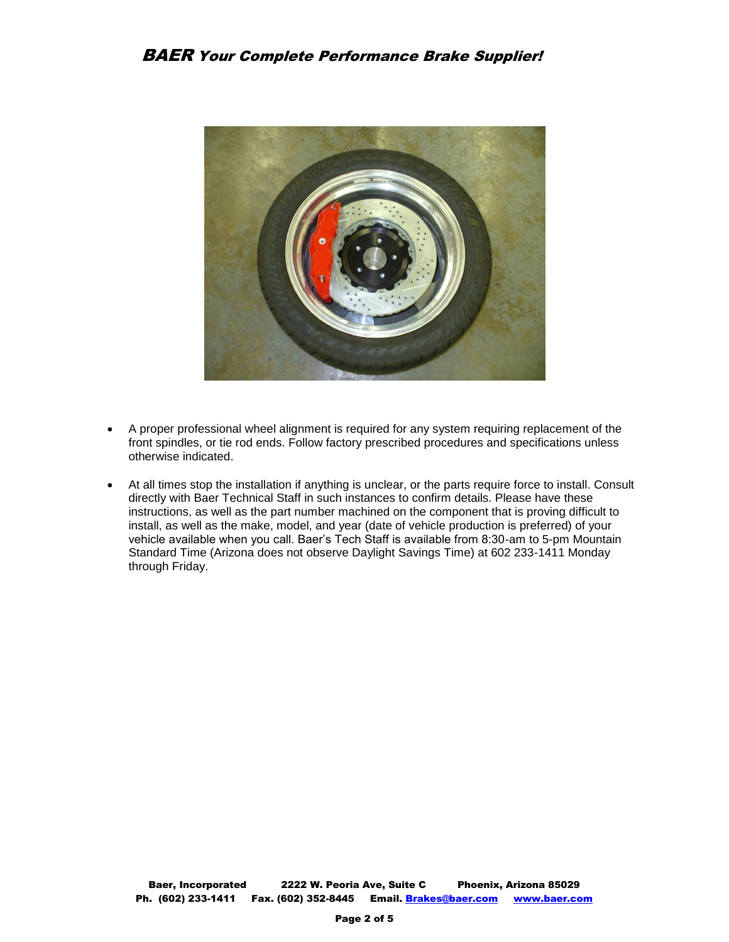

- A proper professional wheel alignment is required for any system requiring replacement of the front spindles, or tie rod ends. Follow factory prescribed procedures and specifications unless otherwise indicated.
- At all times stop the installation if anything is unclear, or the parts require force to install. Consult directly with Baer Technical Staff in such instances to confirm details. Please have these instructions, as well as the part number machined on the component that is proving difficult to install, as well as the make, model, and year (date of vehicle production is preferred) of your vehicle available when you call. Baer's Tech Staff is available from 8:30-am to 5-pm Mountain Standard Time (Arizona does not observe Daylight Savings Time) at 602 233-1411 Monday through Friday.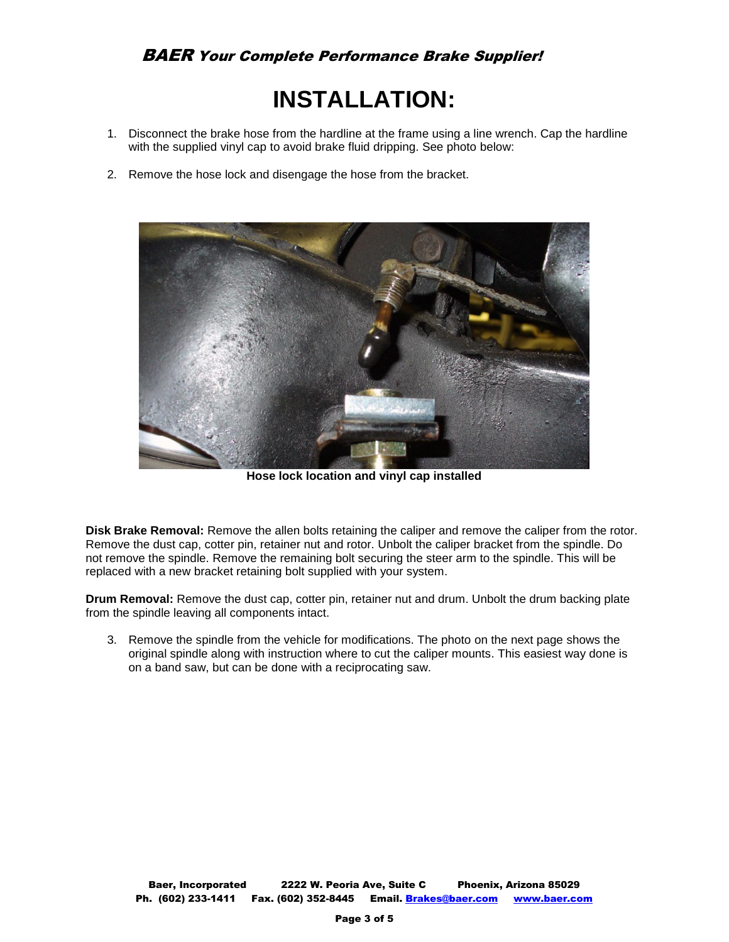## **INSTALLATION:**

- 1. Disconnect the brake hose from the hardline at the frame using a line wrench. Cap the hardline with the supplied vinyl cap to avoid brake fluid dripping. See photo below:
- 2. Remove the hose lock and disengage the hose from the bracket.



**Hose lock location and vinyl cap installed**

**Disk Brake Removal:** Remove the allen bolts retaining the caliper and remove the caliper from the rotor. Remove the dust cap, cotter pin, retainer nut and rotor. Unbolt the caliper bracket from the spindle. Do not remove the spindle. Remove the remaining bolt securing the steer arm to the spindle. This will be replaced with a new bracket retaining bolt supplied with your system.

**Drum Removal:** Remove the dust cap, cotter pin, retainer nut and drum. Unbolt the drum backing plate from the spindle leaving all components intact.

3. Remove the spindle from the vehicle for modifications. The photo on the next page shows the original spindle along with instruction where to cut the caliper mounts. This easiest way done is on a band saw, but can be done with a reciprocating saw.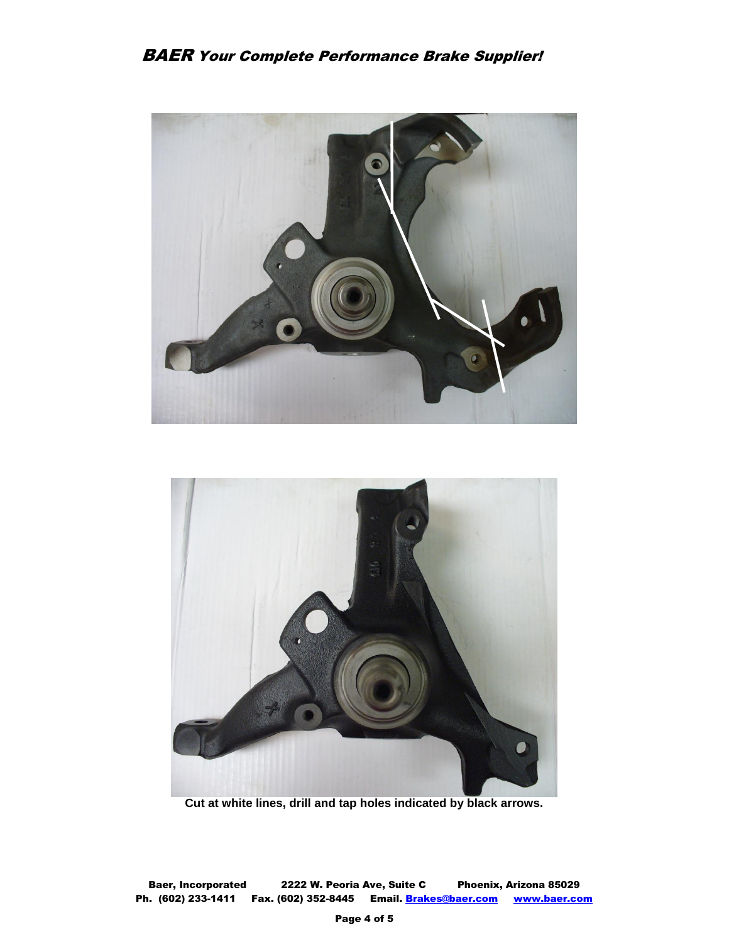



**Cut at white lines, drill and tap holes indicated by black arrows.**

Baer, Incorporated 2222 W. Peoria Ave, Suite C Phoenix, Arizona 85029 Ph. (602) 233-1411 Fax. (602) 352-8445 Email. Brakes@baer.com www.baer.com